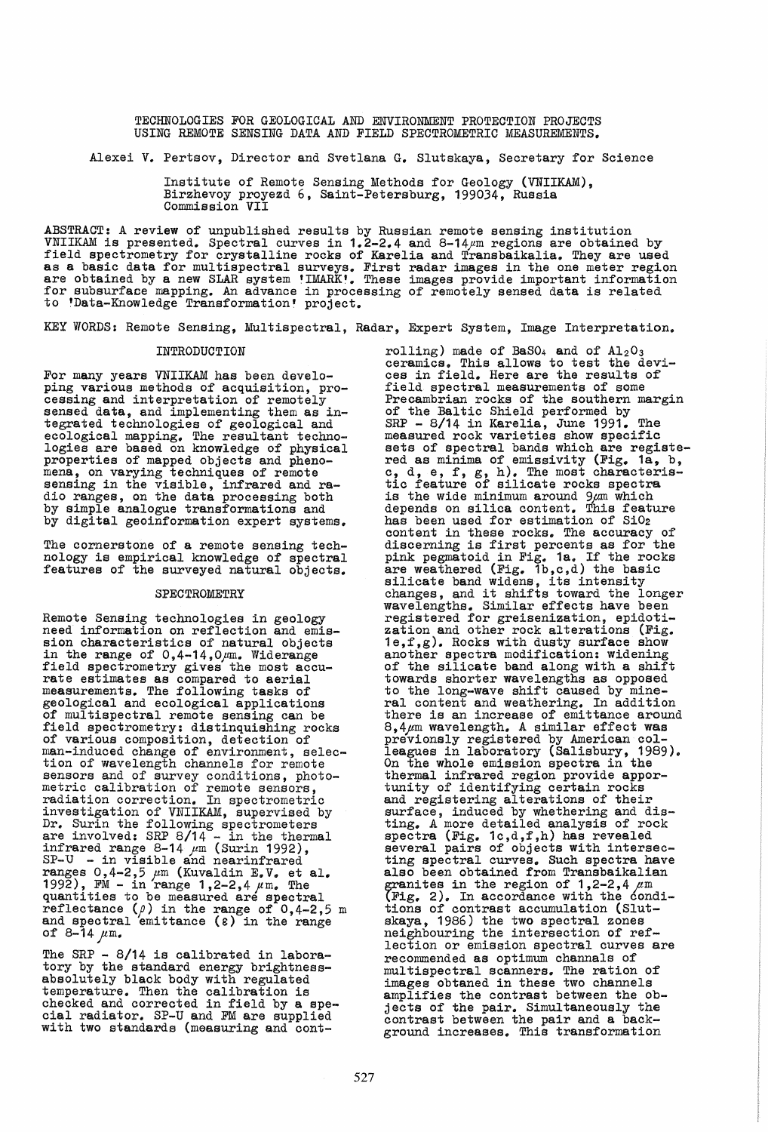TECHNOLOGIES FOR GEOLOGICAL AND ENVIRONMENT PROTECTION PROJECTS USING REMOTE SENSING DATA AND FIELD SPECTROMETRIC MEASUREMENTS.

Alexei V. Pertsov, Director and Svetlana G. Slutskaya, Secretary for Science

Institute of Remote Sensing Methods for Geology (VNIIKAM), Birzhevoy proyezd 6, Saint-Petersburg, 199034, Russia Commission VII

ABSTRACT: A review of unpublished results by Russian remote sensing institution VNIIKAM is presented. Spectral curves in 1.2-2.4 and 8-14pm regions are obtained by field spectrometry for crystalline rocks of Karelia and Transbaikalia. They are used as a basic data for multispectral surveys. First radar images in the one meter region are obtained by a new SLAR system 'IMARK'. These images provide important information for subsurface mapping. An advance in processing of remotely sensed data is related to tData-Knowledge Transformation' project.

KEY WORDS: Remote Sensing, Multispectral, Radar, Expert System, Image Interpretation.

For many years VNIIKAM has been develo-<br>ping various methods of acquisition, processing and interpretation of remotely sensed data, and implementing them as integrated technologies of geological and ecological mapping. The resultant technologies are based on knowledge of physical properties of mapped objects and phenomena, on varying techniques of remote sensing in the visible, infrared and radio ranges, on the data processing both by Simple analogue transformations and by digital geoinformation expert systems.

The cornerstone of a remote sensing technology is empirical knowledge of spectral features of the surveyed natural objects.

## SPECTROMETRY

Remote Sensing technologies in geology need information on reflection and emission characteristics of natural objects in the range of *0,4-14,Opm.* Widerange field spectrometry gives the most accurate estimates as compared to aerial measurements. The following tasks of geological and ecological applications of multispectral remote sensing can be field spectrometry: distinquishing rocks of various composition, detection of man-induced change of environment, selection of wavelength channels for remote sensors and of survey conditions, photo-<br>metric calibration of remote sensors, radiation correction. In spectrometric<br>investigation of VNIIKAM, supervised by<br>Dr. Surin the following spectrometers are involved: SRP 8/14 - in the thermal infrared range  $8-14$   $\mu$ m (Surin 1992),  $SP-U - in visible and nearinfrared$ ranges  $0,4-2,5 \, \mu$ m (Kuvaldin E.V. et al. 1992), FM - in range  $1,2-2,4 \, \mu$ m. The quantities to be measured are spectral reflectance  $(\rho)$  in the range of 0,4-2,5 m and spectral emittance  $(\varepsilon)$  in the range<br>of 8-14  $\mu$ m.

The SRP - 8/14 is calibrated in laboratory by the standard energy brightness- absolutely black body with regulated temperature. Then the calibration is checked and corrected in field by a spe- cial radiator. SP-U and FM are supplied with two standards (measuring and cont-

INTRODUCTION rolling) made of BaSO<sub>4</sub> and of  $A1_2O_3$ ceramics. This allows to test the devices in field. Here are the results of field spectral measurements of some<br>Precambrian rocks of the southern margin of the Baltic Shield performed by SRP - 8/14 in Karelia, June 1991. The measured rock varieties show specific modskred rock variously show specifie-<br>sets of spectral bands which are registe-<br>red as minima of emissivity (Fig. 1a, b, c, d, e, f, g, h). The most characteristic feature of silicate rocks spectra<br>is the wide minimum around  $9\mu$ m which depends on silica content. This feature has been used for estimation of SiO<sub>2</sub> content in these rocks. The accuracy of discerning is first percents as for the pink pegmatoid in Fig. 1a. If the rocks are weathered (Fig. 1b,c,d) the basic<br>silicate band widens, its intensity<br>changes, and it shifts toward the longer<br>wavelengths. Similar effects have been registered for greisenization, epidoti-<br>zation and other rock alterations (Fig. 1e,f,g). Rocks with dusty surface show another spectra modification: widening of the silicate band along with a shift of the silicate band along with a shift<br>towards shorter wavelengths as opposed to the long-wave shift caused by mineral content and weathering. In addition there is an increase of emittance around  $8,4\,\mu$ m wavelength. A similar effect was previonsly registered by American colleagues in laboratory (Salisbury, 1989). On the whole emission spectra in the thermal infrared region provide appor- tunity of identifying certain rocks and registering alterations of their surface, induced by whethering and distinge A more detailed analysis of rock spectra (Fig. 1c,d,f,h) has revealed several pairs of objects with intersecting spectral curves. Such spectra have also been obtained from Transbaikalian granites in the region of  $1,2-2,4 \text{ }\mu\text{m}$ <br>(Fig. 2). In accordance with the condi-<br>tions of contrast accumulation (Sluttions of contrast accumulation (Slut- skaya, 1986) the two spectral zones neighbouring the intersection of reflection or emission spectral curves are recommended as optimum channals of multispectral scanners. The ration of images obtaned in these two channels amplifies the contrast between the obdimplified the contrast between the cocontrast between the pair and a background increases. This transformation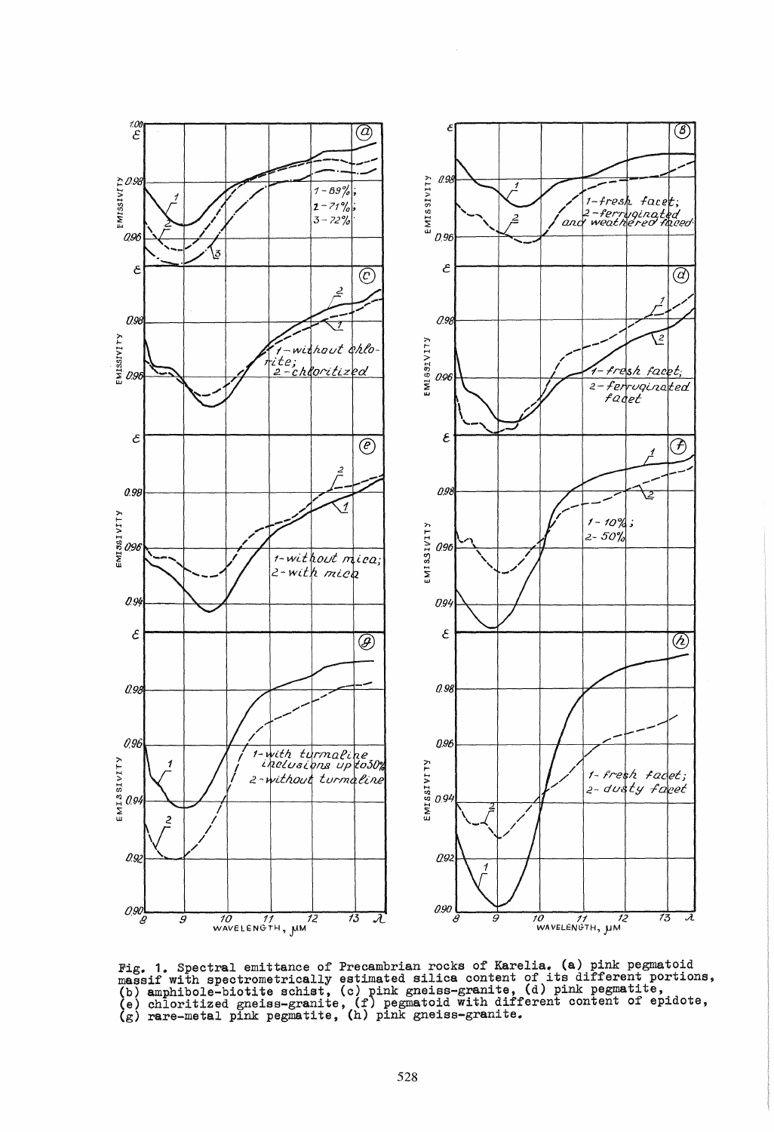

Fig. 1. Spectral emittance of Precambrian rocks of Karelia. (a) pink pegmatoid massif with spectrometrically estimated silica content of its different portions, (b) amphibole-biotite schist, (c) pink gneiss-granite, (d) pi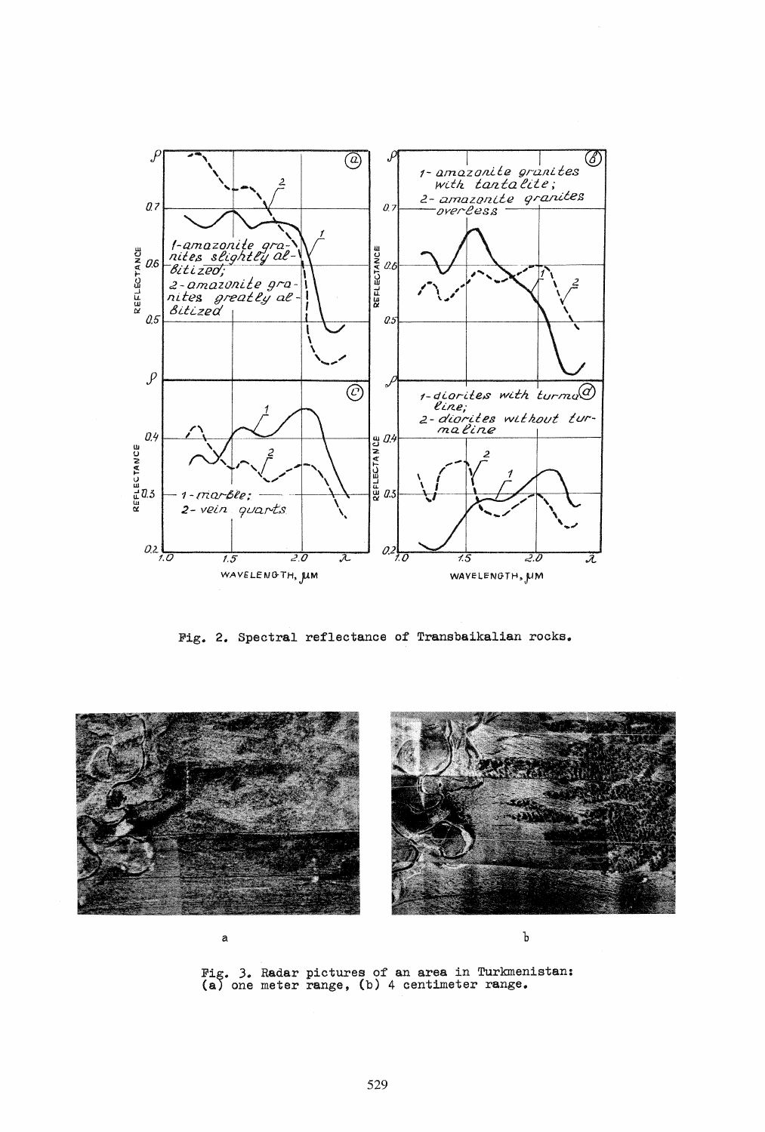

Fig. 2. Spectral reflectance of Transbaikalian rocks.



Fig. 3. Radar pictures of an area in Turkmenistan:<br>(a) one meter range, (b) 4 centimeter range.

a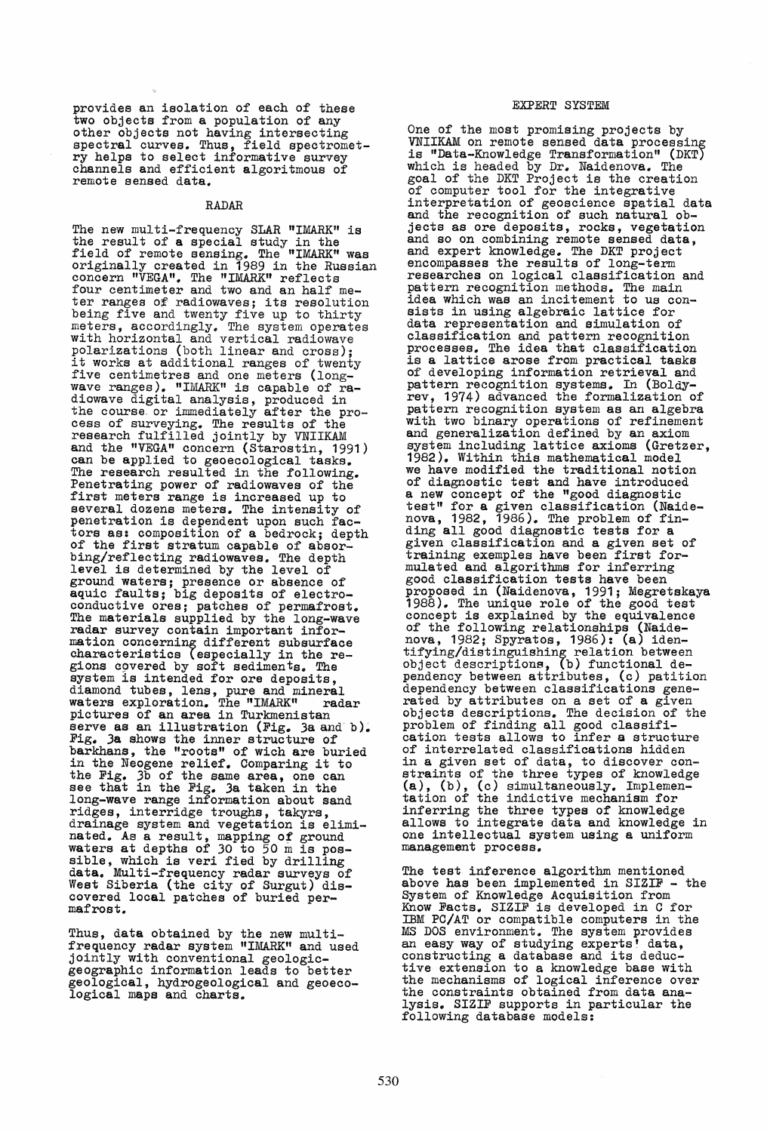provides an isolation of each of these<br>two objects from a population of any two objects from a population of any<br>other objects not having intersecting<br>spectral curves. Thus, field spectrometry helps to select informative survey channels and efficient algoritmous of channels and efficient algoritmous of<br>remote sensed data.

# RADAR

The new multi-frequency SLAR "IMARK" is the result of a special study in the field of remote sensing. The "IMARK" was originally created in 1989 in the Russian concern "VEGA". The "IMARK" reflects four centimeter and two and an half meter ranges of radiowaves; its resolution being five and twenty five up to thirty meters, accordingly. The system operates with horizontal and vertical radiowave polarizations (both linear and cross);<br>it works at additional ranges of twenty<br>five centimetres and one meters (longwave ranges). "IMARK" is capable of radiowave digital analysis, produced in the course. or immediately after the process of surveying. The results of the research fulfilled jointly by VNIIKAM and the nVEGA" concern (Starostin, 1991) can be applied to geoecological tasks. The research resulted in the following.<br>Penetrating power of radiowaves of the Penetrating power of radiowaves of the<br>first meters range is increased up to several dozens meters. The intensity of penetration is dependent upon such factors as: composition of a bedrock; depth of the first stratum capable of absorof the first stratum capable of absor-<br>bing/reflecting radiowaves. The depth<br>level is determined by the level of ground waters; presence or absence of aquic faults; big deposits of electroconductive ores; patches of permafrost. The materials supplied by the long-wave radar survey contain important information concerning different subsurface characteristics (especially in the regions covered by soft sediments. The<br>system is intended for ore deposits. gions covered by solt sediments. The<br>system is intended for ore deposits,<br>diamond tubes, lens, pure and mineral waters exploration. The "IMARK" radar pictures of an area in Turkmenistan serve as an illustration (Fig. 3a and b). Fig. 3a shows the inner structure of barkhans, the "roots" of wich are buried barkhans, the "roots" of wich are burie<br>in the Neogene relief. Comparing it to the Fig. 3b of the same area, one can see that in the Fig. 3a taken in the long-wave range information about sand ridges, interridge troughs, takyrs, drainage system and vegetation is eliminated. As a result, mapping of ground waters at depths of 30 to 50 m is pos-<br>waters at depths of 30 to 50 m is pos-<br>sible, which is veri fied by drilling<br>data. Multi-frequency radar surveys of West Siberia (the city of Surgut) discovered local patches of buried per-<br>mafrost.

Thus, data obtained by the new multifrequency radar system "IMARK" and used jointly with conventional geologic- geographic information leads to better geological, hydrogeological and geoeco- logical maps and charts.

## EXPERT SYSTEM

One of the most promising projects by<br>VNIIKAM on remote sensed data processing<br>is "Data-Knowledge Transformation" (DKT) which is headed by Dr. Naidenova. The goal of the DKT Project is the creation of computer tool for the integrative interpretation of geoscience spatial data and the recognition of such natural ob-<br>jects as ore deposits, rocks, vegetation jects as ore deposits, rocks, vegetation and so on combining remote sensed data, and expert knowledge. The DKT project encompasses the results of long-term researches on logical classification and pattern recognition methods. The main idea which was an incitement to us consists in using algebraic lattice for data representation and simulation of classification and pattern recognition processes. The idea that classification is a lattice arose from practical tasks of developing information retrieval and pattern recognition systems. In (BoldYrev, 1974) advanced the formalization of pattern recognition system as an algebra with two binary operations of refinement and generalization defined by an axiom system including lattice axioms (Gretzer, 1982). Within this mathematical model we have modified the traditional notion of diagnostic test and have introduced a new concept of the "good diagnostic test" for a given classification (Naidenova, 1982, 1986). The problem of finding all good diagnostic tests for a given classification and a given set of training exemples have been first formulated and algorithms for inferring good classification tests have been proposed in (Naidenova, 1991; Megretskaya 1988). The unique role of the good test concept is explained by the equivalence of the following relationships (Naidenova, 1982; Spyratos, 1986): (a) identifying/distinguishing relation between object descriptions, (b) functional dependency between attributes, (c) patition dependency between classifications gene- rated by attributes on a set of a given objects descriptions. The decision of the problem of finding all good classification tests allows to infer a structure of interrelated classifications hidden in a given set of data, to discover constraints of the three types of knowledge (a), (b), (c) simultaneously. Implemen- tation of the indictive mechanism for inferring the three types of knowledge allows to integrate data and knowledge in one intellectual system using a uniform management process.

The test inference algorithm mentioned above has been implemented in SIZIF - the System of Knowledge Acquisition from Know Facts. SIZIF is developed in C for IBM PC/AT or compatible computers in the MS DOS environment. The system provides an easy way of studying experts' data, constructing a database and its deductive extension to a knowledge base with the mechanisms of logical inference over the constraints obtained from data analysis. SIZIF supports *in* particular the following database models: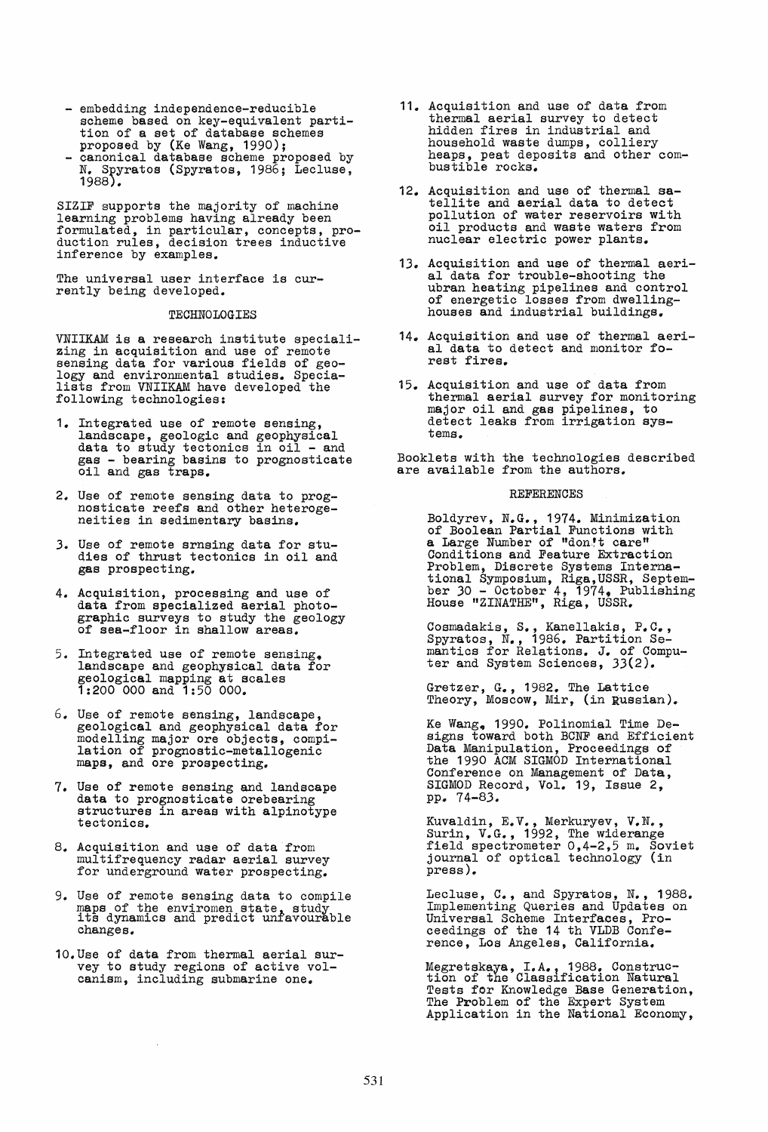- embedding independence-reducible scheme based on key-equivalent parti- tion of a set of database schemes
- proposed by (Ke Wang, 1990);<br>proposed by (Ke Wang, 1990);<br>N. Spyratos (Spyratos, 1986; Lecluse, 1988) •

SIZIF supports the majority of machine learning problems having already been formulated, in particular, concepts, pro- duction rules, decision trees inductive inference by examples.

The universal user interface is currently being developed.

# TECHNOLOGIES

VNIIKAM is a research institute speciali- zing in acquisition and use of remote sensing data for various fields of geo-<br>logy and environmental studies. Speciafollowing technologies: because the following technologies:

- 1. Integrated use of remote sensing, landscape, geologic and geophysical data to study tectonics in oil and gas - bearing basins to prognosticate oil and gas traps.
- 2. Use of remote sensing data to prog- nosticate reefs and other heteroge- neities in sedimentary basins.
- 3. Use of remote srnsing data for studies of thrust tectonics in oil and gas prospecting.
- 4. Acquisition, processing and use of graphic surveys to study the geology of sea-floor in shallow areas.
- 5. Integrated use of remote sensing. landscape and geophysical data for geological mapping at scales 1:200 000 and 1:50 000.
- 6. Use of remote sensing, landscape,<br>geological and geophysical data for modelling major ore objects, compi- lation of prognostic-metallogenic maps, and ore prospecting.
- 7. Use of remote sensing and landscape data to prognosticate orebearing structures in areas with alpinotype tectonics.
- 8. Acquisition and use of data from multifrequency radar aerial survey for underground water prospecting.
- 9. Use of remote sensing data to compile -so of the enviromen state, study and predict unfavourable changes ..
- 10. Use of data from thermal aerial survey to study regions of active volcanism, including submarine one.
- 11. Acquisition and use of data from thermal aerial survey to detect hidden fires in industrial and household waste dumps, colliery heaps, peat deposits and other comheaps, peat deposits and other com-<br>bustible rocks.
- 12. Acquisition and use of thermal sa-tellite and aerial data to detect pollution of water reservoirs with oil products and waste waters from nuclear electric power plants.
- 13. Acquisition and use of thermal aerial data for trouble-shooting the ubran heating pipelines and control of energetic losses from dwelling- houses and industrial buildings.
- 14. AcqUisition and use of thermal aerial data to detect and monitor forest fires.
- 15. Acquisition and use of data from thermal aerial survey for monitoring major oil and gas pipelines, to<br>detect leaks from irrigation systems.

Booklets with the technologies described are available from the authors.

#### **REFERENCES**

Boldyrev, N.G., 1974. Minimization<br>of Boolean Partial Functions with a Large Number of "don!t care" Conditions and Feature Extraction Problem, Discrete Systems International Symposium, Riga,USSR, Septem-<br>ber 30 - October 4, 1974, Publishing<br>House "ZINATHE", Riga, USSR.

Cosmadakis, S., Kanellakis, P.C., Spyratos, N., 1986. Partition Semantics for Relations. J. of Computer and System Sciences, 33(2).

Gretzer, G., 1982. The Lattice Theory, Moscow, Mir, (in Russian).

Ke Wang. 1990. Polinomial Time De-signs toward both BCNF and Efficient Data Manipulation, Proceedings of the 1990 ACM SIGMOD International Conference on Management of Data, SIGMOD Record, Vol. 19, Issue 2, pp. 74-83 ..

Kuvaldin, E.V., Merkuryev, V.N.,<br>Surin, V.G., 1992, The widerange<br>field spectrometer 0,4-2,5 m. Soviet journal of optical technology (in press ).

Lecluse, C., and Spyratos, N., 1988. Implementing Queries and Updates on Universal Scheme Interfaoes, Proceedings of the 14 th VLDB Conference, Los Angeles, California.

Megretskaya, I.A., 1988. Construc-<br>tion of the Classification Natural Tests for Knowledge Base Generation, The Problem of the Expert System Application in the National Economy,